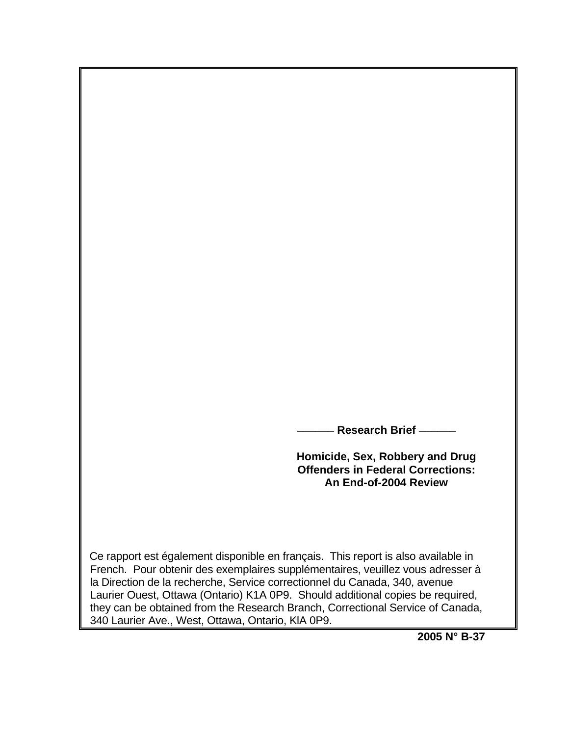**\_\_\_\_\_\_ Research Brief \_\_\_\_\_\_** 

**Homicide, Sex, Robbery and Drug Offenders in Federal Corrections: An End-of-2004 Review**

 Ce rapport est également disponible en français. This report is also available in French. Pour obtenir des exemplaires supplémentaires, veuillez vous adresser à la Direction de la recherche, Service correctionnel du Canada, 340, avenue Laurier Ouest, Ottawa (Ontario) K1A 0P9. Should additional copies be required, they can be obtained from the Research Branch, Correctional Service of Canada, 340 Laurier Ave., West, Ottawa, Ontario, KlA 0P9.

**2005 N° B-37**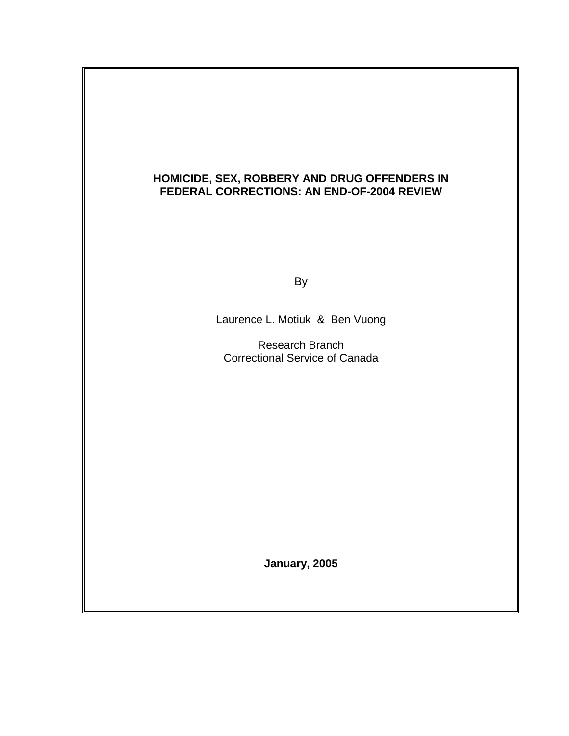### **HOMICIDE, SEX, ROBBERY AND DRUG OFFENDERS IN FEDERAL CORRECTIONS: AN END-OF-2004 REVIEW**

and the control of the Bystem of the Bystem of the Bystem of the Bystem of the Bystem of the Bystem of the Bys

Laurence L. Motiuk & Ben Vuong

 Research Branch Correctional Service of Canada

**January, 2005**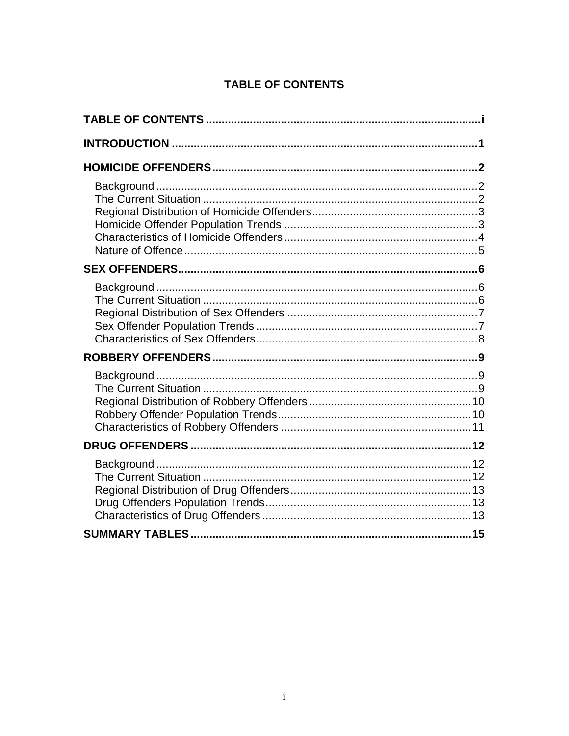# **TABLE OF CONTENTS**

<span id="page-2-0"></span>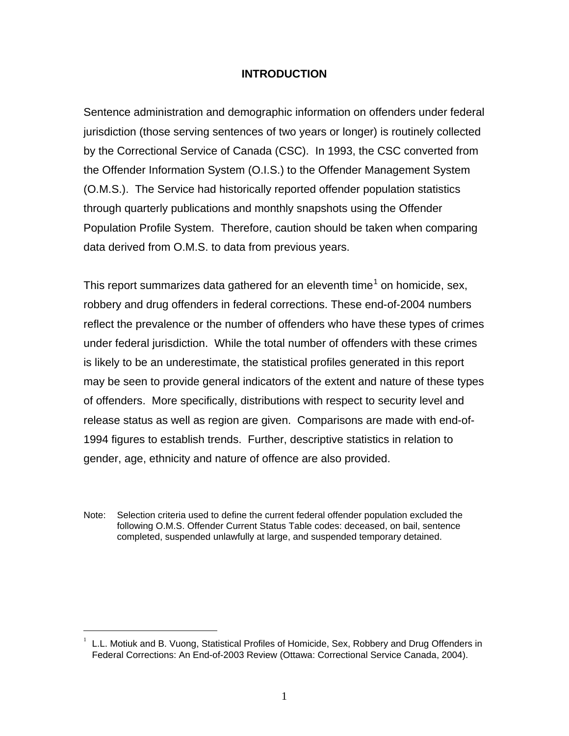### **INTRODUCTION**

<span id="page-3-0"></span>Sentence administration and demographic information on offenders under federal jurisdiction (those serving sentences of two years or longer) is routinely collected by the Correctional Service of Canada (CSC). In 1993, the CSC converted from the Offender Information System (O.I.S.) to the Offender Management System (O.M.S.). The Service had historically reported offender population statistics through quarterly publications and monthly snapshots using the Offender Population Profile System. Therefore, caution should be taken when comparing data derived from O.M.S. to data from previous years.

This report summarizes data gathered for an eleventh time<sup>[1](#page-3-1)</sup> on homicide, sex, robbery and drug offenders in federal corrections. These end-of-2004 numbers reflect the prevalence or the number of offenders who have these types of crimes under federal jurisdiction. While the total number of offenders with these crimes is likely to be an underestimate, the statistical profiles generated in this report may be seen to provide general indicators of the extent and nature of these types of offenders. More specifically, distributions with respect to security level and release status as well as region are given. Comparisons are made with end-of-1994 figures to establish trends. Further, descriptive statistics in relation to gender, age, ethnicity and nature of offence are also provided.

Note: Selection criteria used to define the current federal offender population excluded the following O.M.S. Offender Current Status Table codes: deceased, on bail, sentence completed, suspended unlawfully at large, and suspended temporary detained.

<span id="page-3-1"></span>L.L. Motiuk and B. Vuong, Statistical Profiles of Homicide, Sex, Robbery and Drug Offenders in Federal Corrections: An End-of-2003 Review (Ottawa: Correctional Service Canada, 2004). 1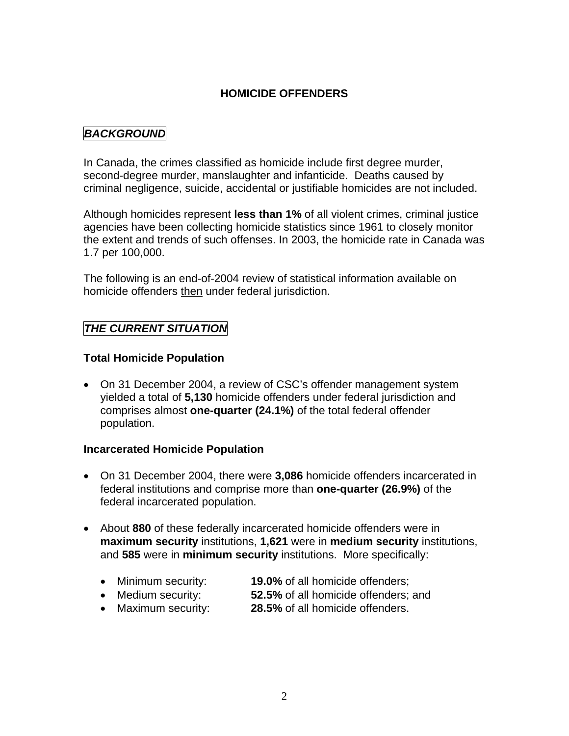## **HOMICIDE OFFENDERS**

## <span id="page-4-0"></span>*BACKGROUND*

In Canada, the crimes classified as homicide include first degree murder, second-degree murder, manslaughter and infanticide. Deaths caused by criminal negligence, suicide, accidental or justifiable homicides are not included.

Although homicides represent **less than 1%** of all violent crimes, criminal justice agencies have been collecting homicide statistics since 1961 to closely monitor the extent and trends of such offenses. In 2003, the homicide rate in Canada was 1.7 per 100,000.

The following is an end-of-2004 review of statistical information available on homicide offenders then under federal jurisdiction.

## *THE CURRENT SITUATION*

### **Total Homicide Population**

• On 31 December 2004, a review of CSC's offender management system yielded a total of **5,130** homicide offenders under federal jurisdiction and comprises almost **one-quarter (24.1%)** of the total federal offender population.

### **Incarcerated Homicide Population**

- On 31 December 2004, there were **3,086** homicide offenders incarcerated in federal institutions and comprise more than **one-quarter (26.9%)** of the federal incarcerated population.
- About **880** of these federally incarcerated homicide offenders were in **maximum security** institutions, **1,621** were in **medium security** institutions, and **585** were in **minimum security** institutions. More specifically:
	- Minimum security: **19.0%** of all homicide offenders;
	- Medium security: **52.5%** of all homicide offenders; and
	- Maximum security: **28.5%** of all homicide offenders.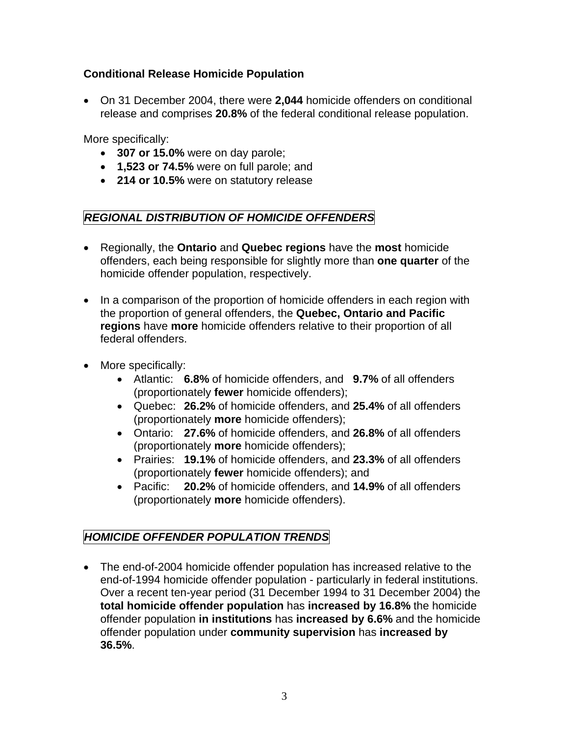## <span id="page-5-0"></span>**Conditional Release Homicide Population**

• On 31 December 2004, there were **2,044** homicide offenders on conditional release and comprises **20.8%** of the federal conditional release population.

More specifically:

- **307 or 15.0%** were on day parole;
- **1,523 or 74.5%** were on full parole; and
- **214 or 10.5%** were on statutory release

## *REGIONAL DISTRIBUTION OF HOMICIDE OFFENDERS*

- Regionally, the **Ontario** and **Quebec regions** have the **most** homicide offenders, each being responsible for slightly more than **one quarter** of the homicide offender population, respectively.
- In a comparison of the proportion of homicide offenders in each region with the proportion of general offenders, the **Quebec, Ontario and Pacific regions** have **more** homicide offenders relative to their proportion of all federal offenders.
- More specifically:
	- Atlantic: **6.8%** of homicide offenders, and **9.7%** of all offenders (proportionately **fewer** homicide offenders);
	- Quebec: **26.2%** of homicide offenders, and **25.4%** of all offenders (proportionately **more** homicide offenders);
	- Ontario: **27.6%** of homicide offenders, and **26.8%** of all offenders (proportionately **more** homicide offenders);
	- Prairies: **19.1%** of homicide offenders, and **23.3%** of all offenders (proportionately **fewer** homicide offenders); and
	- Pacific: **20.2%** of homicide offenders, and **14.9%** of all offenders (proportionately **more** homicide offenders).

## *HOMICIDE OFFENDER POPULATION TRENDS*

• The end-of-2004 homicide offender population has increased relative to the end-of-1994 homicide offender population - particularly in federal institutions. Over a recent ten-year period (31 December 1994 to 31 December 2004) the **total homicide offender population** has **increased by 16.8%** the homicide offender population **in institutions** has **increased by 6.6%** and the homicide offender population under **community supervision** has **increased by 36.5%**.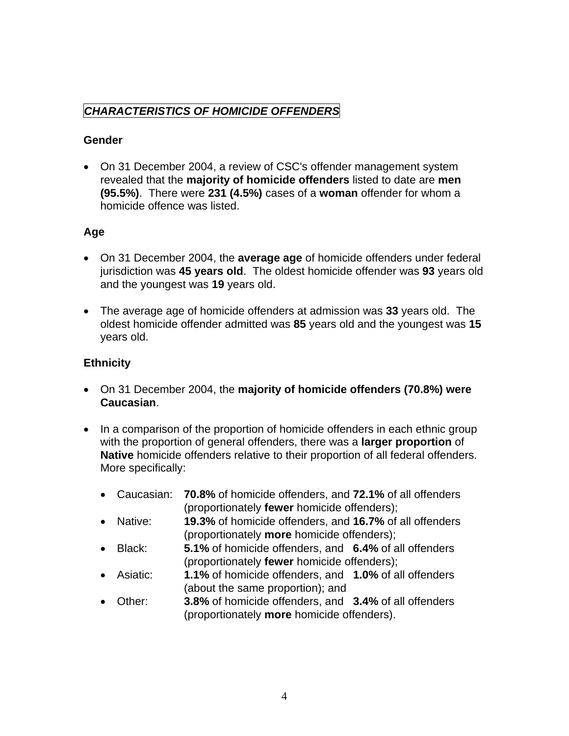## <span id="page-6-0"></span>*CHARACTERISTICS OF HOMICIDE OFFENDERS*

### **Gender**

• On 31 December 2004, a review of CSC's offender management system revealed that the **majority of homicide offenders** listed to date are **men (95.5%)**. There were **231 (4.5%)** cases of a **woman** offender for whom a homicide offence was listed.

## **Age**

- On 31 December 2004, the **average age** of homicide offenders under federal jurisdiction was **45 years old**. The oldest homicide offender was **93** years old and the youngest was **19** years old.
- The average age of homicide offenders at admission was **33** years old. The oldest homicide offender admitted was **85** years old and the youngest was **15**  years old.

## **Ethnicity**

- On 31 December 2004, the **majority of homicide offenders (70.8%) were Caucasian**.
- In a comparison of the proportion of homicide offenders in each ethnic group with the proportion of general offenders, there was a **larger proportion** of **Native** homicide offenders relative to their proportion of all federal offenders. More specifically:
	- Caucasian: **70.8%** of homicide offenders, and **72.1%** of all offenders (proportionately **fewer** homicide offenders);
	- Native: **19.3%** of homicide offenders, and **16.7%** of all offenders (proportionately **more** homicide offenders);
	- Black: **5.1%** of homicide offenders, and **6.4%** of all offenders (proportionately **fewer** homicide offenders);
	- Asiatic: **1.1%** of homicide offenders, and **1.0%** of all offenders (about the same proportion); and
	- Other: **3.8%** of homicide offenders, and **3.4%** of all offenders (proportionately **more** homicide offenders).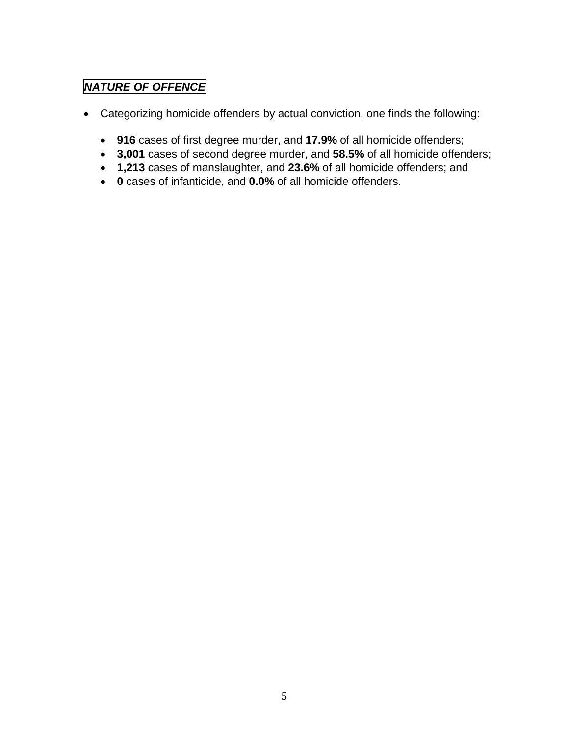# *NATURE OF OFFENCE*

- Categorizing homicide offenders by actual conviction, one finds the following:
	- **916** cases of first degree murder, and **17.9%** of all homicide offenders;
	- **3,001** cases of second degree murder, and **58.5%** of all homicide offenders;
	- **1,213** cases of manslaughter, and **23.6%** of all homicide offenders; and
	- **0** cases of infanticide, and **0.0%** of all homicide offenders.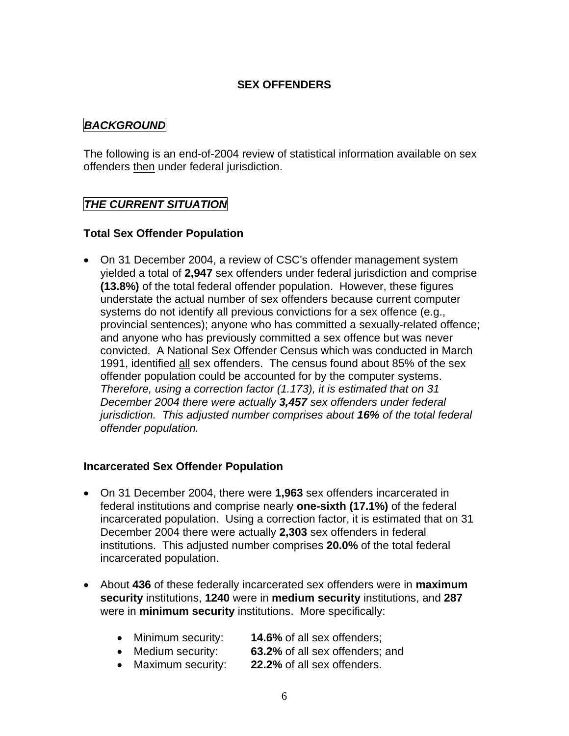### **SEX OFFENDERS**

## <span id="page-8-0"></span>*BACKGROUND*

The following is an end-of-2004 review of statistical information available on sex offenders then under federal jurisdiction.

## *THE CURRENT SITUATION*

### **Total Sex Offender Population**

• On 31 December 2004, a review of CSC's offender management system yielded a total of **2,947** sex offenders under federal jurisdiction and comprise **(13.8%)** of the total federal offender population. However, these figures understate the actual number of sex offenders because current computer systems do not identify all previous convictions for a sex offence (e.g., provincial sentences); anyone who has committed a sexually-related offence; and anyone who has previously committed a sex offence but was never convicted. A National Sex Offender Census which was conducted in March 1991, identified all sex offenders. The census found about 85% of the sex offender population could be accounted for by the computer systems. *Therefore, using a correction factor (1.173), it is estimated that on 31 December 2004 there were actually 3,457 sex offenders under federal jurisdiction. This adjusted number comprises about 16% of the total federal offender population.* 

### **Incarcerated Sex Offender Population**

- On 31 December 2004, there were **1,963** sex offenders incarcerated in federal institutions and comprise nearly **one-sixth (17.1%)** of the federal incarcerated population. Using a correction factor, it is estimated that on 31 December 2004 there were actually **2,303** sex offenders in federal institutions. This adjusted number comprises **20.0%** of the total federal incarcerated population.
- About **436** of these federally incarcerated sex offenders were in **maximum security** institutions, **1240** were in **medium security** institutions, and **287**  were in **minimum security** institutions. More specifically:
	- Minimum security: **14.6%** of all sex offenders;
	- Medium security: **63.2%** of all sex offenders; and
	- Maximum security: **22.2%** of all sex offenders.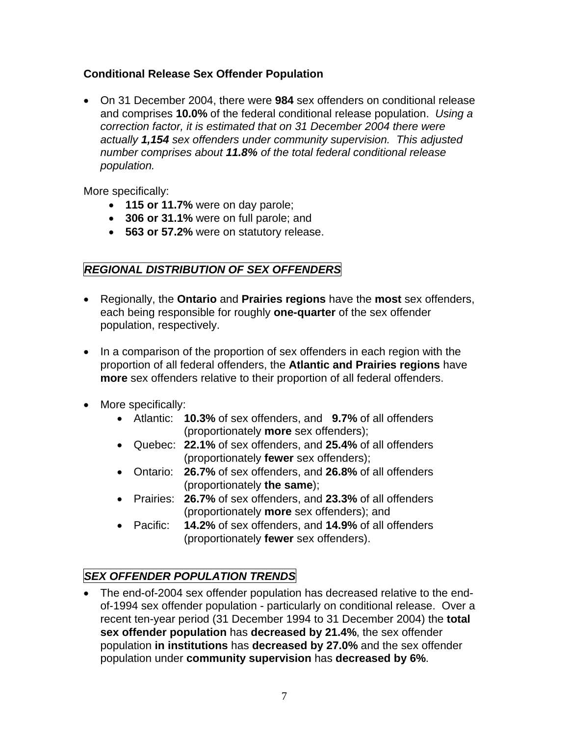## <span id="page-9-0"></span>**Conditional Release Sex Offender Population**

• On 31 December 2004, there were **984** sex offenders on conditional release and comprises **10.0%** of the federal conditional release population. *Using a correction factor, it is estimated that on 31 December 2004 there were actually 1,154 sex offenders under community supervision. This adjusted number comprises about 11.8% of the total federal conditional release population.* 

More specifically:

- **115 or 11.7%** were on day parole;
- **306 or 31.1%** were on full parole; and
- **563 or 57.2%** were on statutory release.

# *REGIONAL DISTRIBUTION OF SEX OFFENDERS*

- Regionally, the **Ontario** and **Prairies regions** have the **most** sex offenders, each being responsible for roughly **one-quarter** of the sex offender population, respectively.
- In a comparison of the proportion of sex offenders in each region with the proportion of all federal offenders, the **Atlantic and Prairies regions** have **more** sex offenders relative to their proportion of all federal offenders.
- More specifically:
	- Atlantic: **10.3%** of sex offenders, and **9.7%** of all offenders (proportionately **more** sex offenders);
	- Quebec: **22.1%** of sex offenders, and **25.4%** of all offenders (proportionately **fewer** sex offenders);
	- Ontario: **26.7%** of sex offenders, and **26.8%** of all offenders (proportionately **the same**);
	- Prairies: **26.7%** of sex offenders, and **23.3%** of all offenders (proportionately **more** sex offenders); and
	- Pacific: **14.2%** of sex offenders, and **14.9%** of all offenders (proportionately **fewer** sex offenders).

# *SEX OFFENDER POPULATION TRENDS*

• The end-of-2004 sex offender population has decreased relative to the endof-1994 sex offender population - particularly on conditional release. Over a recent ten-year period (31 December 1994 to 31 December 2004) the **total sex offender population** has **decreased by 21.4%**, the sex offender population **in institutions** has **decreased by 27.0%** and the sex offender population under **community supervision** has **decreased by 6%**.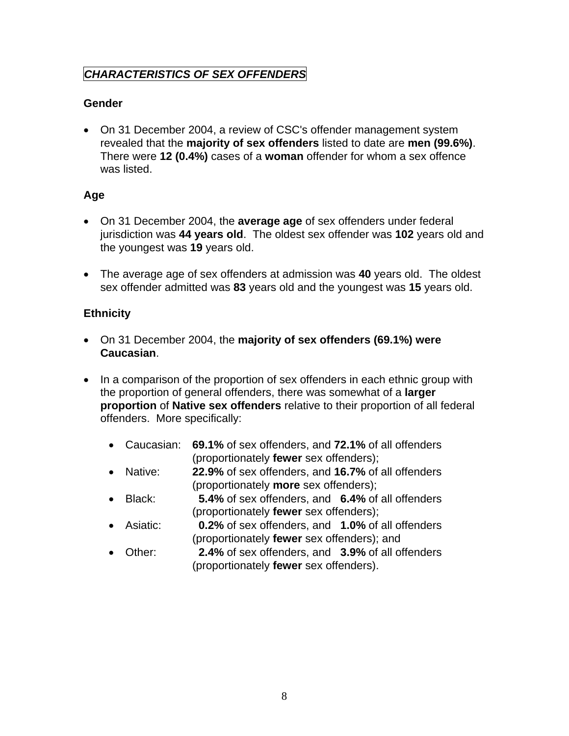# <span id="page-10-0"></span>*CHARACTERISTICS OF SEX OFFENDERS*

## **Gender**

• On 31 December 2004, a review of CSC's offender management system revealed that the **majority of sex offenders** listed to date are **men (99.6%)**. There were **12 (0.4%)** cases of a **woman** offender for whom a sex offence was listed.

## **Age**

- On 31 December 2004, the **average age** of sex offenders under federal jurisdiction was **44 years old**. The oldest sex offender was **102** years old and the youngest was **19** years old.
- The average age of sex offenders at admission was **40** years old. The oldest sex offender admitted was **83** years old and the youngest was **15** years old.

## **Ethnicity**

- On 31 December 2004, the **majority of sex offenders (69.1%) were Caucasian**.
- In a comparison of the proportion of sex offenders in each ethnic group with the proportion of general offenders, there was somewhat of a **larger proportion** of **Native sex offenders** relative to their proportion of all federal offenders. More specifically:
	- Caucasian: **69.1%** of sex offenders, and **72.1%** of all offenders (proportionately **fewer** sex offenders);
	- Native: **22.9%** of sex offenders, and **16.7%** of all offenders (proportionately **more** sex offenders);
	- Black: **5.4%** of sex offenders, and **6.4%** of all offenders (proportionately **fewer** sex offenders);
	- Asiatic: **0.2%** of sex offenders, and **1.0%** of all offenders (proportionately **fewer** sex offenders); and
	- Other: **2.4%** of sex offenders, and **3.9%** of all offenders (proportionately **fewer** sex offenders).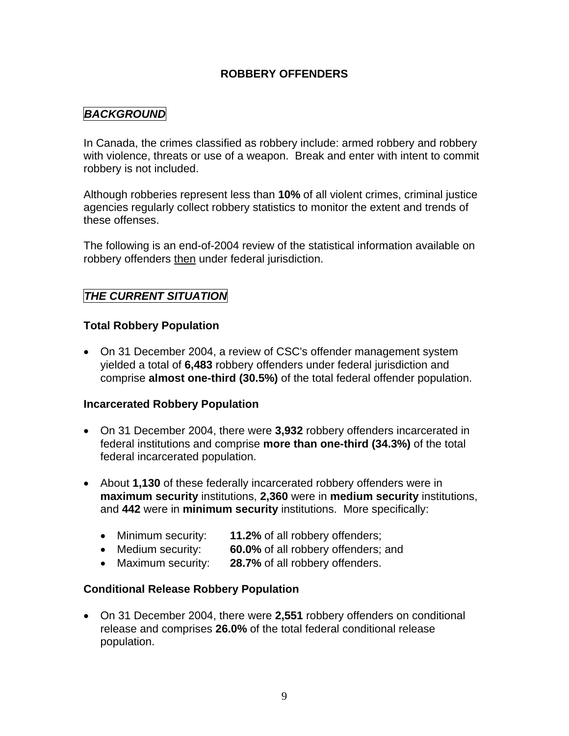### **ROBBERY OFFENDERS**

## <span id="page-11-0"></span>*BACKGROUND*

In Canada, the crimes classified as robbery include: armed robbery and robbery with violence, threats or use of a weapon. Break and enter with intent to commit robbery is not included.

Although robberies represent less than **10%** of all violent crimes, criminal justice agencies regularly collect robbery statistics to monitor the extent and trends of these offenses.

The following is an end-of-2004 review of the statistical information available on robbery offenders then under federal jurisdiction.

## *THE CURRENT SITUATION*

### **Total Robbery Population**

• On 31 December 2004, a review of CSC's offender management system yielded a total of **6,483** robbery offenders under federal jurisdiction and comprise **almost one-third (30.5%)** of the total federal offender population.

### **Incarcerated Robbery Population**

- On 31 December 2004, there were **3,932** robbery offenders incarcerated in federal institutions and comprise **more than one-third (34.3%)** of the total federal incarcerated population.
- About **1,130** of these federally incarcerated robbery offenders were in **maximum security** institutions, **2,360** were in **medium security** institutions, and **442** were in **minimum security** institutions. More specifically:
	- Minimum security: **11.2%** of all robbery offenders;
	- Medium security: **60.0%** of all robbery offenders; and
	- Maximum security: **28.7%** of all robbery offenders.

### **Conditional Release Robbery Population**

• On 31 December 2004, there were **2,551** robbery offenders on conditional release and comprises **26.0%** of the total federal conditional release population.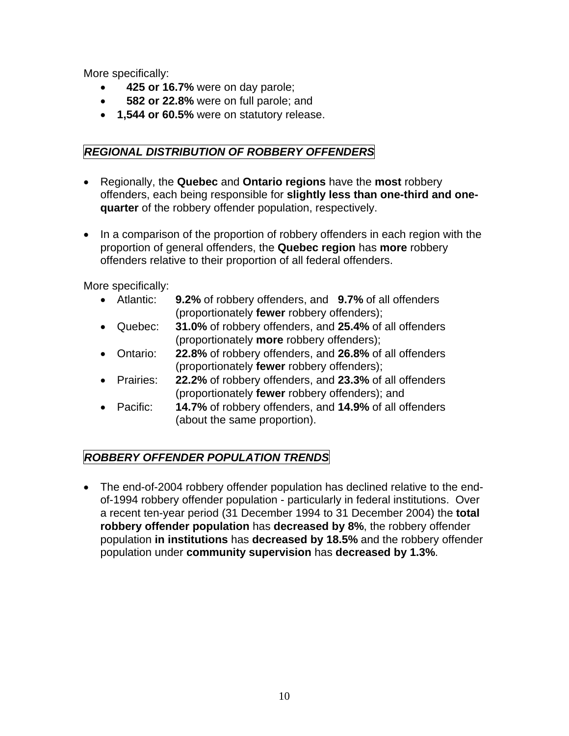<span id="page-12-0"></span>More specifically:

- • **425 or 16.7%** were on day parole;
- • **582 or 22.8%** were on full parole; and
- **1,544 or 60.5%** were on statutory release.

## *REGIONAL DISTRIBUTION OF ROBBERY OFFENDERS*

- Regionally, the **Quebec** and **Ontario regions** have the **most** robbery offenders, each being responsible for **slightly less than one-third and onequarter** of the robbery offender population, respectively.
- In a comparison of the proportion of robbery offenders in each region with the proportion of general offenders, the **Quebec region** has **more** robbery offenders relative to their proportion of all federal offenders.

More specifically:

- Atlantic: **9.2%** of robbery offenders, and **9.7%** of all offenders (proportionately **fewer** robbery offenders);
- Quebec: **31.0%** of robbery offenders, and **25.4%** of all offenders (proportionately **more** robbery offenders);
- Ontario: **22.8%** of robbery offenders, and **26.8%** of all offenders (proportionately **fewer** robbery offenders);
- Prairies: **22.2%** of robbery offenders, and **23.3%** of all offenders (proportionately **fewer** robbery offenders); and
- Pacific: **14.7%** of robbery offenders, and **14.9%** of all offenders (about the same proportion).

# *ROBBERY OFFENDER POPULATION TRENDS*

• The end-of-2004 robbery offender population has declined relative to the endof-1994 robbery offender population - particularly in federal institutions. Over a recent ten-year period (31 December 1994 to 31 December 2004) the **total robbery offender population** has **decreased by 8%**, the robbery offender population **in institutions** has **decreased by 18.5%** and the robbery offender population under **community supervision** has **decreased by 1.3%**.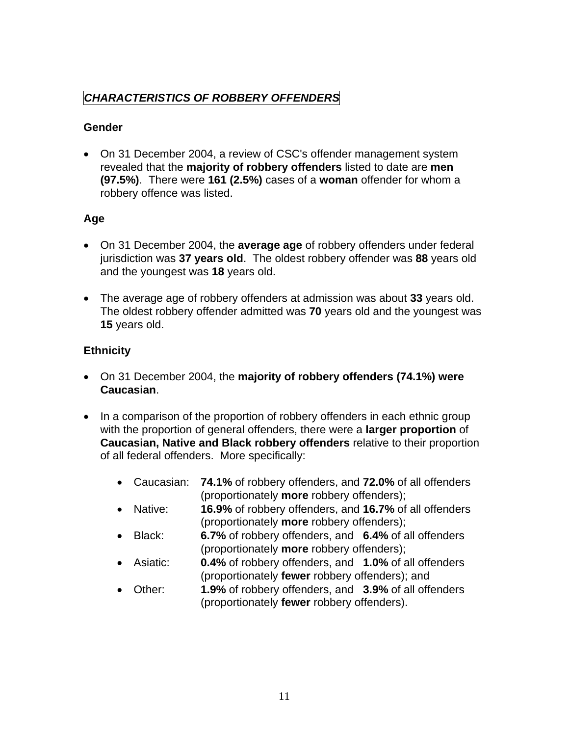## <span id="page-13-0"></span>*CHARACTERISTICS OF ROBBERY OFFENDERS*

### **Gender**

• On 31 December 2004, a review of CSC's offender management system revealed that the **majority of robbery offenders** listed to date are **men (97.5%)**. There were **161 (2.5%)** cases of a **woman** offender for whom a robbery offence was listed.

## **Age**

- On 31 December 2004, the **average age** of robbery offenders under federal jurisdiction was **37 years old**. The oldest robbery offender was **88** years old and the youngest was **18** years old.
- The average age of robbery offenders at admission was about **33** years old. The oldest robbery offender admitted was **70** years old and the youngest was **15** years old.

## **Ethnicity**

- On 31 December 2004, the **majority of robbery offenders (74.1%) were Caucasian**.
- In a comparison of the proportion of robbery offenders in each ethnic group with the proportion of general offenders, there were a **larger proportion** of **Caucasian, Native and Black robbery offenders** relative to their proportion of all federal offenders. More specifically:
	- Caucasian: **74.1%** of robbery offenders, and **72.0%** of all offenders (proportionately **more** robbery offenders);
	- Native: **16.9%** of robbery offenders, and **16.7%** of all offenders (proportionately **more** robbery offenders);
	- Black: **6.7%** of robbery offenders, and **6.4%** of all offenders (proportionately **more** robbery offenders);
	- Asiatic: **0.4%** of robbery offenders, and **1.0%** of all offenders (proportionately **fewer** robbery offenders); and
	- Other: **1.9%** of robbery offenders, and **3.9%** of all offenders (proportionately **fewer** robbery offenders).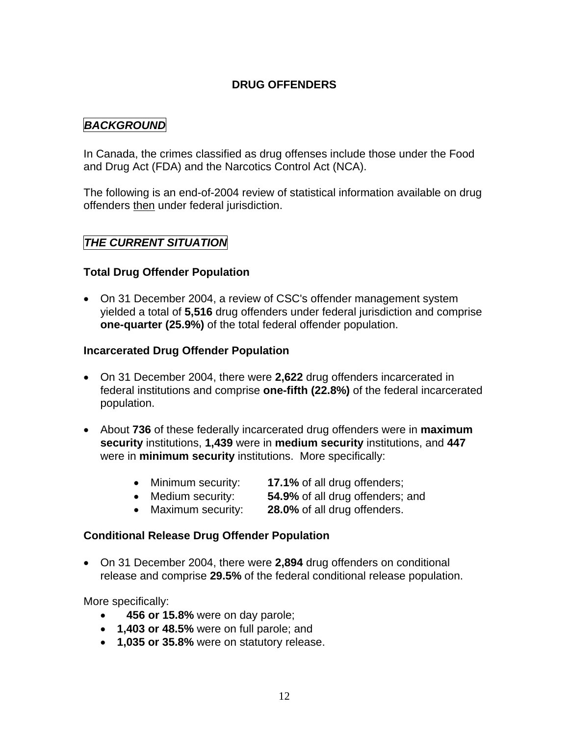## **DRUG OFFENDERS**

## <span id="page-14-0"></span>*BACKGROUND*

In Canada, the crimes classified as drug offenses include those under the Food and Drug Act (FDA) and the Narcotics Control Act (NCA).

The following is an end-of-2004 review of statistical information available on drug offenders then under federal jurisdiction.

### *THE CURRENT SITUATION*

### **Total Drug Offender Population**

• On 31 December 2004, a review of CSC's offender management system yielded a total of **5,516** drug offenders under federal jurisdiction and comprise **one-quarter (25.9%)** of the total federal offender population.

#### **Incarcerated Drug Offender Population**

- On 31 December 2004, there were **2,622** drug offenders incarcerated in federal institutions and comprise **one-fifth (22.8%)** of the federal incarcerated population.
- About **736** of these federally incarcerated drug offenders were in **maximum security** institutions, **1,439** were in **medium security** institutions, and **447**  were in **minimum security** institutions. More specifically:
	- Minimum security: **17.1%** of all drug offenders;
	- Medium security: **54.9%** of all drug offenders; and
	- Maximum security: **28.0%** of all drug offenders.

### **Conditional Release Drug Offender Population**

• On 31 December 2004, there were **2,894** drug offenders on conditional release and comprise **29.5%** of the federal conditional release population.

More specifically:

- • **456 or 15.8%** were on day parole;
- **1,403 or 48.5%** were on full parole; and
- **1,035 or 35.8%** were on statutory release.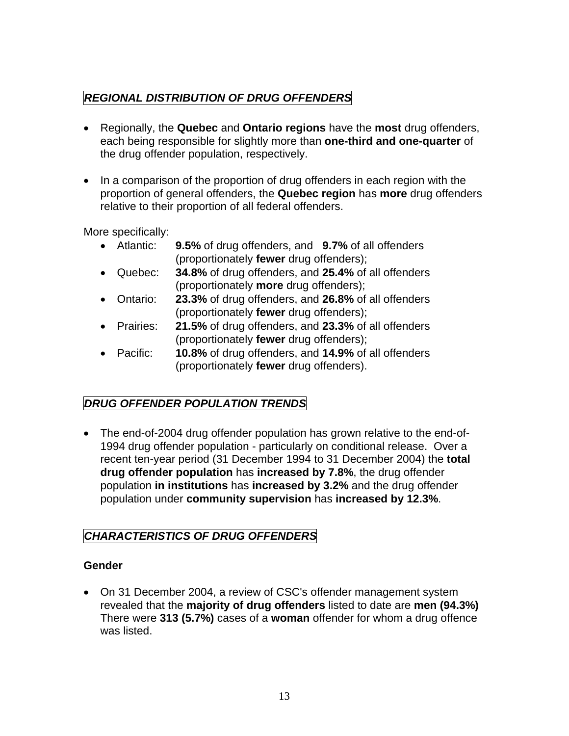# <span id="page-15-0"></span>*REGIONAL DISTRIBUTION OF DRUG OFFENDERS*

- Regionally, the **Quebec** and **Ontario regions** have the **most** drug offenders, each being responsible for slightly more than **one-third and one-quarter** of the drug offender population, respectively.
- In a comparison of the proportion of drug offenders in each region with the proportion of general offenders, the **Quebec region** has **more** drug offenders relative to their proportion of all federal offenders.

More specifically:

- Atlantic: **9.5%** of drug offenders, and **9.7%** of all offenders (proportionately **fewer** drug offenders);
- Quebec: **34.8%** of drug offenders, and **25.4%** of all offenders (proportionately **more** drug offenders);
- Ontario: **23.3%** of drug offenders, and **26.8%** of all offenders (proportionately **fewer** drug offenders);
- Prairies: **21.5%** of drug offenders, and **23.3%** of all offenders (proportionately **fewer** drug offenders);
- Pacific: **10.8%** of drug offenders, and **14.9%** of all offenders (proportionately **fewer** drug offenders).

# *DRUG OFFENDER POPULATION TRENDS*

• The end-of-2004 drug offender population has grown relative to the end-of-1994 drug offender population - particularly on conditional release. Over a recent ten-year period (31 December 1994 to 31 December 2004) the **total drug offender population** has **increased by 7.8%**, the drug offender population **in institutions** has **increased by 3.2%** and the drug offender population under **community supervision** has **increased by 12.3%**.

## *CHARACTERISTICS OF DRUG OFFENDERS*

## **Gender**

• On 31 December 2004, a review of CSC's offender management system revealed that the **majority of drug offenders** listed to date are **men (94.3%)**  There were **313 (5.7%)** cases of a **woman** offender for whom a drug offence was listed.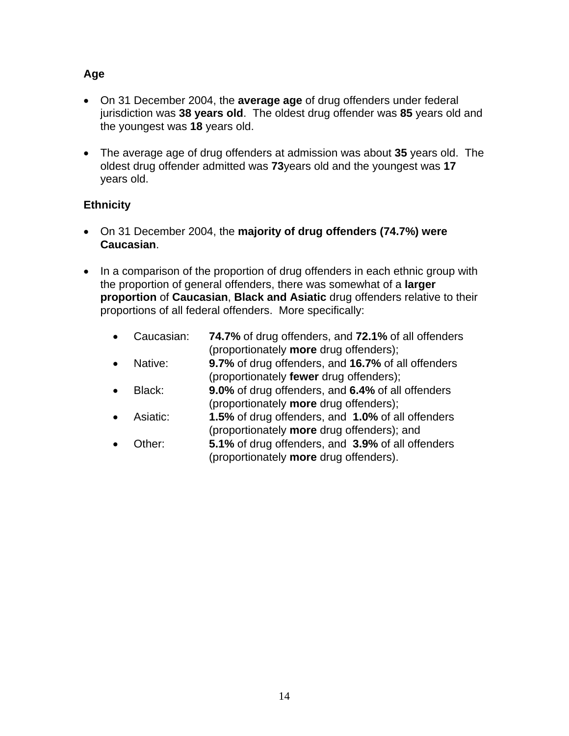## **Age**

- On 31 December 2004, the **average age** of drug offenders under federal jurisdiction was **38 years old**. The oldest drug offender was **85** years old and the youngest was **18** years old.
- The average age of drug offenders at admission was about **35** years old. The oldest drug offender admitted was **73**years old and the youngest was **17**  years old.

## **Ethnicity**

- On 31 December 2004, the **majority of drug offenders (74.7%) were Caucasian**.
- In a comparison of the proportion of drug offenders in each ethnic group with the proportion of general offenders, there was somewhat of a **larger proportion** of **Caucasian**, **Black and Asiatic** drug offenders relative to their proportions of all federal offenders. More specifically:
	- Caucasian: **74.7%** of drug offenders, and **72.1%** of all offenders (proportionately **more** drug offenders);
	- Native: **9.7%** of drug offenders, and **16.7%** of all offenders (proportionately **fewer** drug offenders);
	- Black: **9.0%** of drug offenders, and **6.4%** of all offenders (proportionately **more** drug offenders);
	- Asiatic: **1.5%** of drug offenders, and **1.0%** of all offenders (proportionately **more** drug offenders); and
	- Other: **5.1%** of drug offenders, and **3.9%** of all offenders (proportionately **more** drug offenders).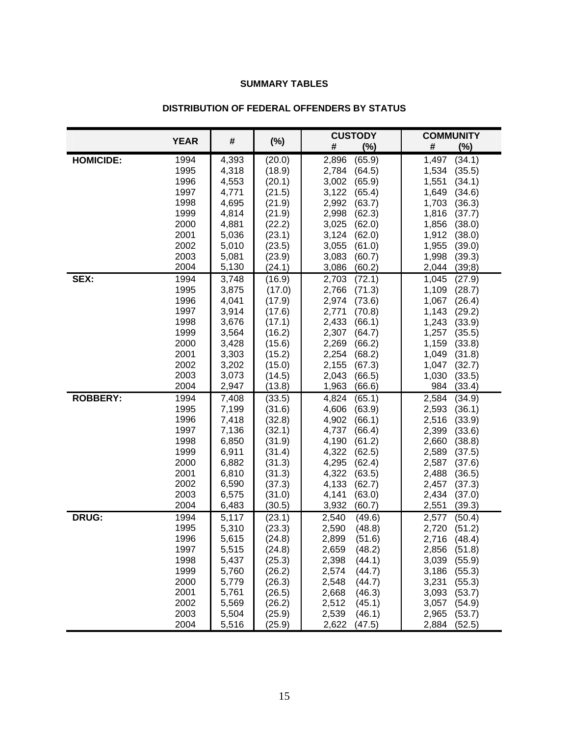#### **SUMMARY TABLES**

<span id="page-17-0"></span>

|                  | <b>YEAR</b>  |                |                  | <b>CUSTODY</b>                     | <b>COMMUNITY</b>                   |  |
|------------------|--------------|----------------|------------------|------------------------------------|------------------------------------|--|
|                  |              | #              | $(\%)$           | #<br>(%)                           | #<br>(%)                           |  |
| <b>HOMICIDE:</b> | 1994         | 4,393          | (20.0)           | 2,896<br>(65.9)                    | (34.1)<br>1,497                    |  |
|                  | 1995         | 4,318          | (18.9)           | 2,784<br>(64.5)                    | (35.5)<br>1,534                    |  |
|                  | 1996         | 4,553          | (20.1)           | 3,002<br>(65.9)                    | 1,551<br>(34.1)                    |  |
|                  | 1997         | 4,771          | (21.5)           | 3,122<br>(65.4)                    | 1,649<br>(34.6)                    |  |
|                  | 1998         | 4,695          | (21.9)           | 2,992<br>(63.7)                    | 1,703<br>(36.3)                    |  |
|                  | 1999         | 4,814          | (21.9)           | 2,998<br>(62.3)                    | 1,816<br>(37.7)                    |  |
|                  | 2000<br>2001 | 4,881          | (22.2)           | (62.0)<br>3,025                    | (38.0)<br>1,856                    |  |
|                  | 2002         | 5,036<br>5,010 | (23.1)<br>(23.5) | 3,124<br>(62.0)<br>3,055<br>(61.0) | 1,912<br>(38.0)<br>1,955<br>(39.0) |  |
|                  | 2003         | 5,081          | (23.9)           | 3,083<br>(60.7)                    | 1,998<br>(39.3)                    |  |
|                  | 2004         | 5,130          | (24.1)           | (60.2)<br>3,086                    | 2,044<br>(39;8)                    |  |
| SEX:             | 1994         | 3,748          | (16.9)           | 2,703<br>(72.1)                    | 1,045<br>(27.9)                    |  |
|                  | 1995         | 3,875          | (17.0)           | 2,766<br>(71.3)                    | 1,109<br>(28.7)                    |  |
|                  | 1996         | 4,041          | (17.9)           | 2,974<br>(73.6)                    | 1,067<br>(26.4)                    |  |
|                  | 1997         | 3,914          | (17.6)           | 2,771<br>(70.8)                    | 1,143<br>(29.2)                    |  |
|                  | 1998         | 3,676          | (17.1)           | 2,433<br>(66.1)                    | 1,243<br>(33.9)                    |  |
|                  | 1999         | 3,564          | (16.2)           | 2,307<br>(64.7)                    | 1,257<br>(35.5)                    |  |
|                  | 2000         | 3,428          | (15.6)           | 2,269<br>(66.2)                    | 1,159<br>(33.8)                    |  |
|                  | 2001         | 3,303          | (15.2)           | 2,254<br>(68.2)                    | 1,049<br>(31.8)                    |  |
|                  | 2002         | 3,202          | (15.0)           | 2,155<br>(67.3)                    | 1,047<br>(32.7)                    |  |
|                  | 2003         | 3,073          | (14.5)           | 2,043<br>(66.5)                    | 1,030<br>(33.5)                    |  |
|                  | 2004         | 2,947          | (13.8)           | 1,963<br>(66.6)                    | 984<br>(33.4)                      |  |
| <b>ROBBERY:</b>  | 1994         | 7,408          | (33.5)           | (65.1)<br>4,824                    | 2,584<br>(34.9)                    |  |
|                  | 1995<br>1996 | 7,199<br>7,418 | (31.6)<br>(32.8) | 4,606<br>(63.9)<br>4,902<br>(66.1) | 2,593<br>(36.1)<br>2,516<br>(33.9) |  |
|                  | 1997         | 7,136          | (32.1)           | 4,737<br>(66.4)                    | 2,399<br>(33.6)                    |  |
|                  | 1998         | 6,850          | (31.9)           | 4,190<br>(61.2)                    | 2,660<br>(38.8)                    |  |
|                  | 1999         | 6,911          | (31.4)           | (62.5)<br>4,322                    | 2,589<br>(37.5)                    |  |
|                  | 2000         | 6,882          | (31.3)           | 4,295<br>(62.4)                    | 2,587<br>(37.6)                    |  |
|                  | 2001         | 6,810          | (31.3)           | 4,322<br>(63.5)                    | 2,488<br>(36.5)                    |  |
|                  | 2002         | 6,590          | (37.3)           | 4,133<br>(62.7)                    | 2,457<br>(37.3)                    |  |
|                  | 2003         | 6,575          | (31.0)           | 4,141<br>(63.0)                    | 2,434<br>(37.0)                    |  |
|                  | 2004         | 6,483          | (30.5)           | 3,932<br>(60.7)                    | 2,551<br>(39.3)                    |  |
| <b>DRUG:</b>     | 1994         | 5,117          | (23.1)           | 2,540<br>(49.6)                    | (50.4)<br>2,577                    |  |
|                  | 1995         | 5,310          | (23.3)           | 2,590<br>(48.8)                    | 2,720<br>(51.2)                    |  |
|                  | 1996         | 5,615          | (24.8)           | 2,899<br>(51.6)                    | 2,716<br>(48.4)                    |  |
|                  | 1997         | 5,515          | (24.8)           | (48.2)<br>2,659                    | 2,856<br>(51.8)                    |  |
|                  | 1998         | 5,437          | (25.3)           | 2,398<br>(44.1)                    | 3,039<br>(55.9)                    |  |
|                  | 1999         | 5,760          | (26.2)           | 2,574<br>(44.7)                    | 3,186<br>(55.3)                    |  |
|                  | 2000<br>2001 | 5,779<br>5,761 | (26.3)<br>(26.5) | 2,548<br>(44.7)<br>2,668<br>(46.3) | 3,231<br>(55.3)<br>3,093<br>(53.7) |  |
|                  | 2002         | 5,569          | (26.2)           | (45.1)<br>2,512                    | 3,057<br>(54.9)                    |  |
|                  | 2003         | 5,504          | (25.9)           | 2,539<br>(46.1)                    | 2,965<br>(53.7)                    |  |
|                  | 2004         | 5,516          | (25.9)           | 2,622<br>(47.5)                    | 2,884<br>(52.5)                    |  |

#### **DISTRIBUTION OF FEDERAL OFFENDERS BY STATUS**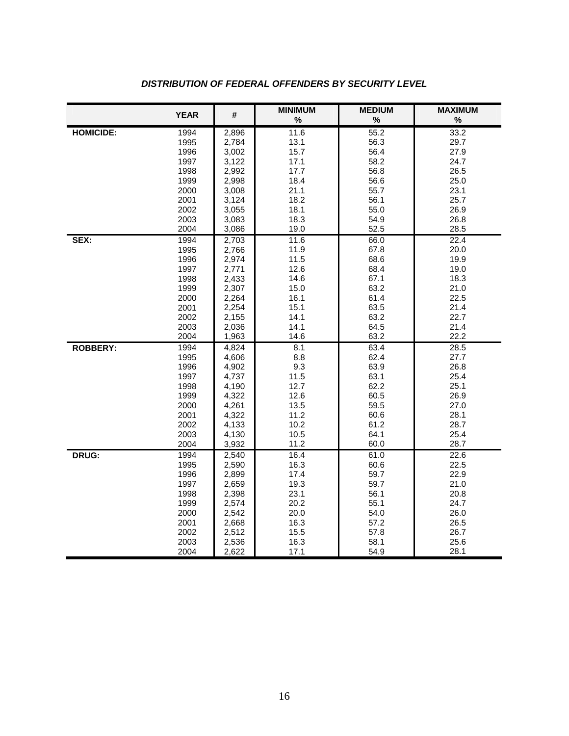|                  | <b>YEAR</b>  | #              | <b>MINIMUM</b> | <b>MEDIUM</b>     | <b>MAXIMUM</b> |
|------------------|--------------|----------------|----------------|-------------------|----------------|
|                  |              |                | $\%$           | %                 | $\%$           |
| <b>HOMICIDE:</b> | 1994         | 2,896          | 11.6           | $\overline{55.2}$ | 33.2           |
|                  | 1995         | 2,784          | 13.1           | 56.3              | 29.7           |
|                  | 1996         | 3,002          | 15.7           | 56.4              | 27.9           |
|                  | 1997         | 3,122          | 17.1           | 58.2              | 24.7           |
|                  | 1998         | 2,992          | 17.7           | 56.8              | 26.5           |
|                  | 1999<br>2000 | 2,998          | 18.4<br>21.1   | 56.6              | 25.0<br>23.1   |
|                  |              | 3,008          |                | 55.7              |                |
|                  | 2001         | 3,124          | 18.2           | 56.1              | 25.7           |
|                  | 2002         | 3,055          | 18.1           | 55.0              | 26.9           |
|                  | 2003         | 3,083          | 18.3           | 54.9              | 26.8           |
|                  | 2004         | 3,086          | 19.0<br>11.6   | 52.5              | 28.5<br>22.4   |
| SEX:             | 1994<br>1995 | 2,703<br>2,766 | 11.9           | 66.0<br>67.8      | 20.0           |
|                  | 1996         |                | 11.5           | 68.6              | 19.9           |
|                  | 1997         | 2,974          | 12.6           | 68.4              | 19.0           |
|                  | 1998         | 2,771<br>2,433 | 14.6           | 67.1              | 18.3           |
|                  | 1999         | 2,307          | 15.0           | 63.2              | 21.0           |
|                  | 2000         | 2,264          | 16.1           | 61.4              | 22.5           |
|                  | 2001         | 2,254          | 15.1           | 63.5              | 21.4           |
|                  | 2002         | 2,155          | 14.1           | 63.2              | 22.7           |
|                  | 2003         | 2,036          | 14.1           | 64.5              | 21.4           |
|                  | 2004         | 1,963          | 14.6           | 63.2              | 22.2           |
| <b>ROBBERY:</b>  | 1994         | 4,824          | 8.1            | 63.4              | 28.5           |
|                  | 1995         | 4,606          | 8.8            | 62.4              | 27.7           |
|                  | 1996         | 4,902          | 9.3            | 63.9              | 26.8           |
|                  | 1997         | 4,737          | 11.5           | 63.1              | 25.4           |
|                  | 1998         | 4,190          | 12.7           | 62.2              | 25.1           |
|                  | 1999         | 4,322          | 12.6           | 60.5              | 26.9           |
|                  | 2000         | 4,261          | 13.5           | 59.5              | 27.0           |
|                  | 2001         | 4,322          | 11.2           | 60.6              | 28.1           |
|                  | 2002         | 4,133          | 10.2           | 61.2              | 28.7           |
|                  | 2003         | 4,130          | 10.5           | 64.1              | 25.4           |
|                  | 2004         | 3,932          | 11.2           | 60.0              | 28.7           |
| DRUG:            | 1994         | 2,540          | 16.4           | 61.0              | 22.6           |
|                  | 1995         | 2,590          | 16.3           | 60.6              | 22.5           |
|                  | 1996         | 2,899          | 17.4           | 59.7              | 22.9           |
|                  | 1997         | 2,659          | 19.3           | 59.7              | 21.0           |
|                  | 1998         | 2,398          | 23.1           | 56.1              | 20.8           |
|                  | 1999         | 2,574          | 20.2           | 55.1              | 24.7           |
|                  | 2000         | 2,542          | 20.0           | 54.0              | 26.0           |
|                  | 2001         | 2,668          | 16.3           | 57.2              | 26.5           |
|                  | 2002         | 2,512          | 15.5           | 57.8              | 26.7           |
|                  | 2003         | 2,536          | 16.3           | 58.1              | 25.6           |
|                  | 2004         | 2,622          | 17.1           | 54.9              | 28.1           |

### *DISTRIBUTION OF FEDERAL OFFENDERS BY SECURITY LEVEL*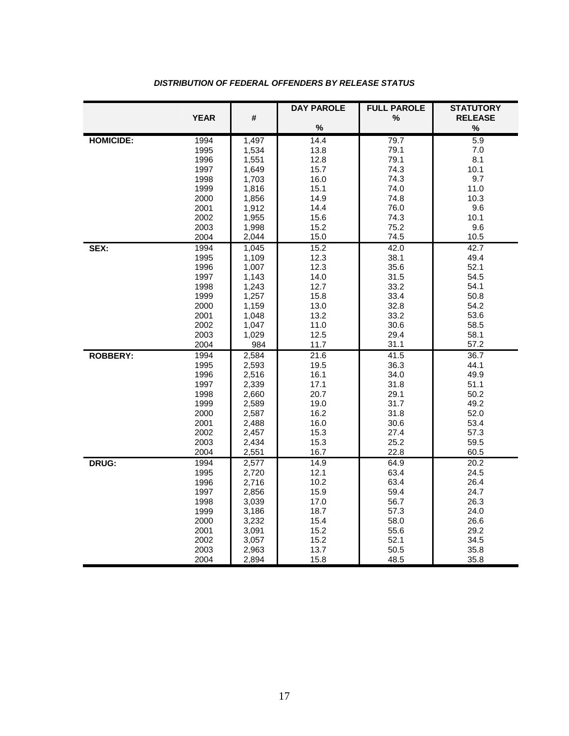|                  |              |                | <b>DAY PAROLE</b> | <b>FULL PAROLE</b> | <b>STATUTORY</b> |
|------------------|--------------|----------------|-------------------|--------------------|------------------|
|                  | <b>YEAR</b>  | #              |                   | $\%$               | <b>RELEASE</b>   |
|                  |              |                | $\%$              |                    | $\%$             |
| <b>HOMICIDE:</b> | 1994         | 1,497          | 14.4              | 79.7               | 5.9              |
|                  | 1995         | 1,534          | 13.8              | 79.1               | 7.0              |
|                  | 1996         | 1,551          | 12.8              | 79.1               | 8.1              |
|                  | 1997         | 1,649          | 15.7              | 74.3               | 10.1             |
|                  | 1998         | 1,703          | 16.0              | 74.3               | 9.7              |
|                  | 1999         | 1,816          | 15.1              | 74.0               | 11.0             |
|                  | 2000         | 1,856          | 14.9              | 74.8               | 10.3             |
|                  | 2001         | 1,912          | 14.4              | 76.0               | 9.6              |
|                  | 2002         | 1,955          | 15.6              | 74.3               | 10.1             |
|                  | 2003         | 1,998          | 15.2              | 75.2               | 9.6              |
|                  | 2004         | 2,044          | 15.0              | 74.5               | 10.5             |
| SEX:             | 1994         | 1,045          | 15.2              | $\overline{42.0}$  | 42.7             |
|                  | 1995         | 1,109          | 12.3              | 38.1               | 49.4             |
|                  | 1996         | 1,007          | 12.3              | 35.6               | 52.1             |
|                  | 1997         | 1,143          | 14.0              | 31.5               | 54.5             |
|                  | 1998         | 1,243          | 12.7              | 33.2<br>33.4       | 54.1<br>50.8     |
|                  | 1999         | 1,257          | 15.8              |                    |                  |
|                  | 2000<br>2001 | 1,159          | 13.0<br>13.2      | 32.8<br>33.2       | 54.2<br>53.6     |
|                  | 2002         | 1,048<br>1,047 | 11.0              | 30.6               | 58.5             |
|                  | 2003         | 1,029          | 12.5              | 29.4               | 58.1             |
|                  | 2004         | 984            | 11.7              | 31.1               | 57.2             |
| <b>ROBBERY:</b>  | 1994         | 2,584          | 21.6              | 41.5               | 36.7             |
|                  | 1995         | 2,593          | 19.5              | 36.3               | 44.1             |
|                  | 1996         | 2,516          | 16.1              | 34.0               | 49.9             |
|                  | 1997         | 2,339          | 17.1              | 31.8               | 51.1             |
|                  | 1998         | 2,660          | 20.7              | 29.1               | 50.2             |
|                  | 1999         | 2,589          | 19.0              | 31.7               | 49.2             |
|                  | 2000         | 2,587          | 16.2              | 31.8               | 52.0             |
|                  | 2001         | 2,488          | 16.0              | 30.6               | 53.4             |
|                  | 2002         | 2,457          | 15.3              | 27.4               | 57.3             |
|                  | 2003         | 2,434          | 15.3              | 25.2               | 59.5             |
|                  | 2004         | 2,551          | 16.7              | 22.8               | 60.5             |
| DRUG:            | 1994         | 2,577          | 14.9              | 64.9               | 20.2             |
|                  | 1995         | 2,720          | 12.1              | 63.4               | 24.5             |
|                  | 1996         | 2,716          | 10.2              | 63.4               | 26.4             |
|                  | 1997         | 2,856          | 15.9              | 59.4               | 24.7             |
|                  | 1998         | 3,039          | 17.0              | 56.7               | 26.3             |
|                  | 1999         | 3,186          | 18.7              | 57.3               | 24.0             |
|                  | 2000         | 3,232          | 15.4              | 58.0               | 26.6             |
|                  | 2001         | 3,091          | 15.2              | 55.6               | 29.2             |
|                  | 2002         | 3,057          | 15.2              | 52.1               | 34.5             |
|                  | 2003         | 2,963          | 13.7              | 50.5               | 35.8             |
|                  | 2004         | 2,894          | 15.8              | 48.5               | 35.8             |

#### *DISTRIBUTION OF FEDERAL OFFENDERS BY RELEASE STATUS*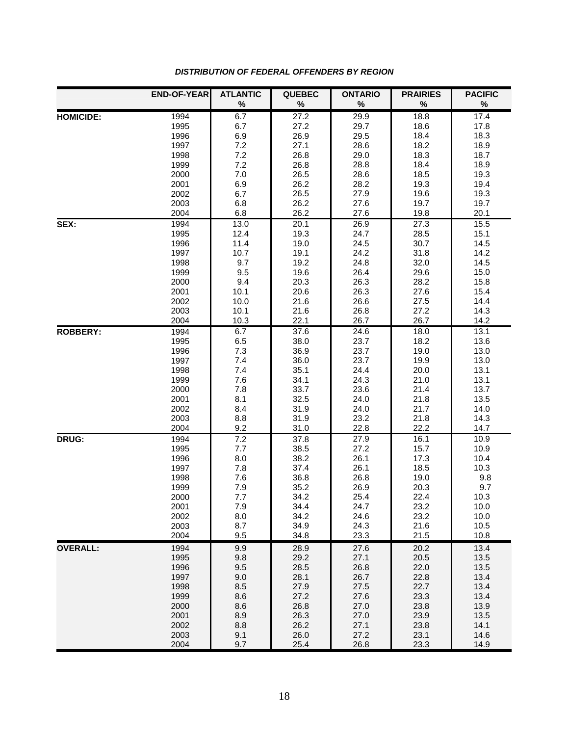|                  | <b>END-OF-YEAR</b> | <b>ATLANTIC</b> | <b>QUEBEC</b> | <b>ONTARIO</b> | <b>PRAIRIES</b> | <b>PACIFIC</b> |
|------------------|--------------------|-----------------|---------------|----------------|-----------------|----------------|
|                  |                    | $\%$            | $\%$          | $\%$           | $\%$            | $\%$           |
| <b>HOMICIDE:</b> | 1994               | 6.7             | 27.2          | 29.9           | 18.8            | 17.4           |
|                  | 1995               | 6.7             | 27.2          | 29.7           | 18.6            | 17.8           |
|                  | 1996               | 6.9             | 26.9          | 29.5           | 18.4            | 18.3           |
|                  | 1997               | 7.2             | 27.1          | 28.6           | 18.2            | 18.9           |
|                  | 1998               | 7.2             | 26.8          | 29.0           | 18.3            | 18.7           |
|                  | 1999               | 7.2             | 26.8          | 28.8           | 18.4            | 18.9           |
|                  | 2000               | 7.0             | 26.5          | 28.6           | 18.5            | 19.3           |
|                  | 2001               | 6.9             | 26.2          | 28.2           | 19.3            | 19.4           |
|                  | 2002               | 6.7             | 26.5          | 27.9           | 19.6            | 19.3           |
|                  | 2003               | 6.8             | 26.2          | 27.6           | 19.7            | 19.7           |
|                  | 2004               | 6.8             | 26.2          | 27.6           | 19.8            | 20.1           |
| SEX:             | 1994               | 13.0            | 20.1          | 26.9           | 27.3            | 15.5           |
|                  | 1995               | 12.4            | 19.3          | 24.7           | 28.5            | 15.1           |
|                  | 1996               | 11.4            | 19.0          | 24.5           | 30.7            | 14.5           |
|                  | 1997               | 10.7            | 19.1          | 24.2           | 31.8            | 14.2           |
|                  | 1998               | 9.7             | 19.2          | 24.8           | 32.0            | 14.5           |
|                  | 1999               | 9.5             | 19.6          | 26.4           | 29.6            | 15.0           |
|                  | 2000               | 9.4             | 20.3          | 26.3           | 28.2            | 15.8           |
|                  | 2001               | 10.1            | 20.6          | 26.3           | 27.6            | 15.4           |
|                  | 2002               | 10.0            | 21.6          | 26.6           | 27.5            | 14.4           |
|                  | 2003               | 10.1            | 21.6          | 26.8           | 27.2            | 14.3           |
|                  | 2004               | 10.3            | 22.1          | 26.7           | 26.7            | 14.2           |
| <b>ROBBERY:</b>  | 1994               | 6.7             | 37.6          | 24.6           | 18.0            | 13.1           |
|                  | 1995               | 6.5             | 38.0          | 23.7           | 18.2            | 13.6           |
|                  | 1996               | 7.3             | 36.9          | 23.7           | 19.0            | 13.0           |
|                  | 1997               | 7.4             | 36.0          | 23.7           | 19.9            | 13.0           |
|                  | 1998               | 7.4             | 35.1          | 24.4           | 20.0            | 13.1<br>13.1   |
|                  | 1999<br>2000       | 7.6<br>7.8      | 34.1<br>33.7  | 24.3           | 21.0            | 13.7           |
|                  | 2001               | 8.1             | 32.5          | 23.6<br>24.0   | 21.4<br>21.8    | 13.5           |
|                  | 2002               | 8.4             | 31.9          | 24.0           | 21.7            | 14.0           |
|                  | 2003               | 8.8             | 31.9          | 23.2           | 21.8            | 14.3           |
|                  | 2004               | 9.2             | 31.0          | 22.8           | 22.2            | 14.7           |
| DRUG:            | 1994               | 7.2             | 37.8          | 27.9           | 16.1            | 10.9           |
|                  | 1995               | 7.7             | 38.5          | 27.2           | 15.7            | 10.9           |
|                  | 1996               | 8.0             | 38.2          | 26.1           | 17.3            | 10.4           |
|                  | 1997               | 7.8             | 37.4          | 26.1           | 18.5            | 10.3           |
|                  | 1998               | 7.6             | 36.8          | 26.8           | 19.0            | 9.8            |
|                  | 1999               | 7.9             | 35.2          | 26.9           | 20.3            | 9.7            |
|                  | 2000               | 7.7             | 34.2          | 25.4           | 22.4            | 10.3           |
|                  | 2001               | 7.9             | 34.4          | 24.7           | 23.2            | 10.0           |
|                  | 2002               | 8.0             | 34.2          | 24.6           | 23.2            | 10.0           |
|                  | 2003               | 8.7             | 34.9          | 24.3           | 21.6            | 10.5           |
|                  | 2004               | 9.5             | 34.8          | 23.3           | 21.5            | 10.8           |
| <b>OVERALL:</b>  | 1994               | 9.9             | 28.9          | 27.6           | 20.2            | 13.4           |
|                  | 1995               | 9.8             | 29.2          | 27.1           | 20.5            | 13.5           |
|                  | 1996               | 9.5             | 28.5          | 26.8           | 22.0            | 13.5           |
|                  | 1997               | 9.0             | 28.1          | 26.7           | 22.8            | 13.4           |
|                  | 1998               | 8.5             | 27.9          | 27.5           | 22.7            | 13.4           |
|                  | 1999               | 8.6             | 27.2          | 27.6           | 23.3            | 13.4           |
|                  | 2000               | 8.6             | 26.8          | 27.0           | 23.8            | 13.9           |
|                  | 2001               | 8.9             | 26.3          | 27.0           | 23.9            | 13.5           |
|                  | 2002               | 8.8             | 26.2          | 27.1           | 23.8            | 14.1           |
|                  | 2003               | 9.1             | 26.0          | 27.2           | 23.1            | 14.6           |
|                  | 2004               | 9.7             | 25.4          | 26.8           | 23.3            | 14.9           |

#### *DISTRIBUTION OF FEDERAL OFFENDERS BY REGION*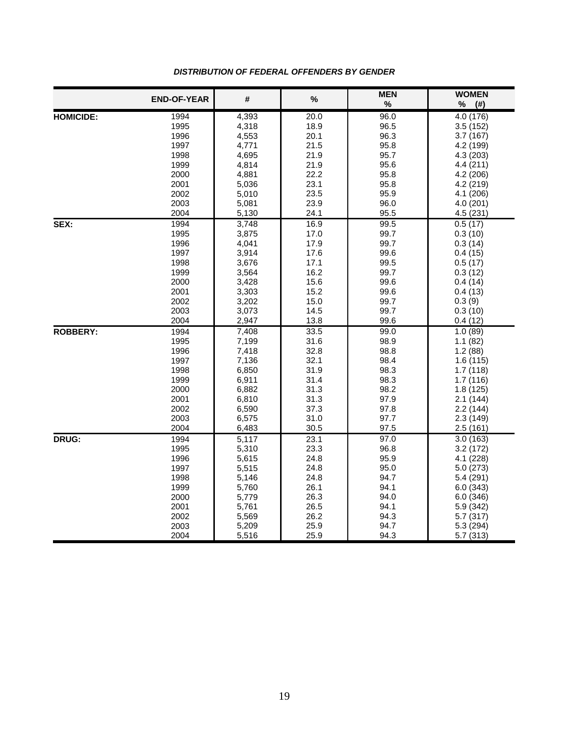|                  | <b>END-OF-YEAR</b> | $\#$           | $\%$         | <b>MEN</b><br>$\%$ | <b>WOMEN</b><br>$\%$<br>$($ # $)$ |
|------------------|--------------------|----------------|--------------|--------------------|-----------------------------------|
| <b>HOMICIDE:</b> | 1994               | 4,393          | 20.0         | 96.0               | 4.0 (176)                         |
|                  | 1995               | 4,318          | 18.9         | 96.5               | 3.5(152)                          |
|                  | 1996               | 4,553          | 20.1         | 96.3               | 3.7(167)                          |
|                  | 1997               | 4,771          | 21.5         | 95.8               | 4.2 (199)                         |
|                  | 1998               | 4,695          | 21.9         | 95.7               | 4.3 (203)                         |
|                  | 1999               | 4,814          | 21.9         | 95.6               | 4.4(211)                          |
|                  | 2000               | 4,881          | 22.2         | 95.8               | 4.2 (206)                         |
|                  | 2001               | 5,036          | 23.1         | 95.8               | 4.2 (219)                         |
|                  | 2002               | 5,010          | 23.5         | 95.9               | 4.1 (206)                         |
|                  | 2003               | 5,081          | 23.9         | 96.0               | 4.0 (201)                         |
|                  | 2004               | 5,130          | 24.1         | 95.5               | 4.5(231)                          |
| SEX:             | 1994               | 3,748          | 16.9         | 99.5               | 0.5(17)                           |
|                  | 1995               | 3,875          | 17.0         | 99.7               | 0.3(10)                           |
|                  | 1996               | 4,041          | 17.9         | 99.7               | 0.3(14)                           |
|                  | 1997               | 3,914          | 17.6         | 99.6               | 0.4(15)                           |
|                  | 1998               | 3,676          | 17.1         | 99.5               | 0.5(17)                           |
|                  | 1999               | 3,564          | 16.2         | 99.7               | 0.3(12)                           |
|                  | 2000               | 3,428          | 15.6         | 99.6               | 0.4(14)                           |
|                  | 2001               | 3,303          | 15.2         | 99.6               | 0.4(13)                           |
|                  | 2002               | 3,202          | 15.0         | 99.7               | 0.3(9)                            |
|                  | 2003               | 3,073          | 14.5         | 99.7               | 0.3(10)                           |
|                  | 2004               | 2,947          | 13.8         | 99.6               | 0.4(12)                           |
| <b>ROBBERY:</b>  | 1994               | 7,408          | 33.5         | 99.0               | 1.0(89)                           |
|                  | 1995               | 7,199          | 31.6         | 98.9               | 1.1(82)                           |
|                  | 1996               | 7,418          | 32.8         | 98.8               | 1.2(88)                           |
|                  | 1997               | 7,136          | 32.1         | 98.4               | 1.6(115)                          |
|                  | 1998<br>1999       | 6,850          | 31.9<br>31.4 | 98.3<br>98.3       | 1.7(118)                          |
|                  | 2000               | 6,911<br>6,882 | 31.3         | 98.2               | 1.7(116)<br>1.8(125)              |
|                  | 2001               | 6,810          | 31.3         | 97.9               | 2.1(144)                          |
|                  | 2002               | 6,590          | 37.3         | 97.8               | 2.2(144)                          |
|                  | 2003               | 6,575          | 31.0         | 97.7               | 2.3(149)                          |
|                  | 2004               | 6,483          | 30.5         | 97.5               | 2.5(161)                          |
| <b>DRUG:</b>     | 1994               | 5,117          | 23.1         | 97.0               | 3.0(163)                          |
|                  | 1995               | 5,310          | 23.3         | 96.8               | 3.2(172)                          |
|                  | 1996               | 5,615          | 24.8         | 95.9               | 4.1 (228)                         |
|                  | 1997               | 5,515          | 24.8         | 95.0               | 5.0(273)                          |
|                  | 1998               | 5,146          | 24.8         | 94.7               | 5.4 (291)                         |
|                  | 1999               | 5,760          | 26.1         | 94.1               | 6.0(343)                          |
|                  | 2000               | 5,779          | 26.3         | 94.0               | 6.0(346)                          |
|                  | 2001               | 5,761          | 26.5         | 94.1               | 5.9 (342)                         |
|                  | 2002               | 5,569          | 26.2         | 94.3               | 5.7 (317)                         |
|                  | 2003               | 5,209          | 25.9         | 94.7               | 5.3 (294)                         |
|                  | 2004               | 5,516          | 25.9         | 94.3               | 5.7 (313)                         |

#### *DISTRIBUTION OF FEDERAL OFFENDERS BY GENDER*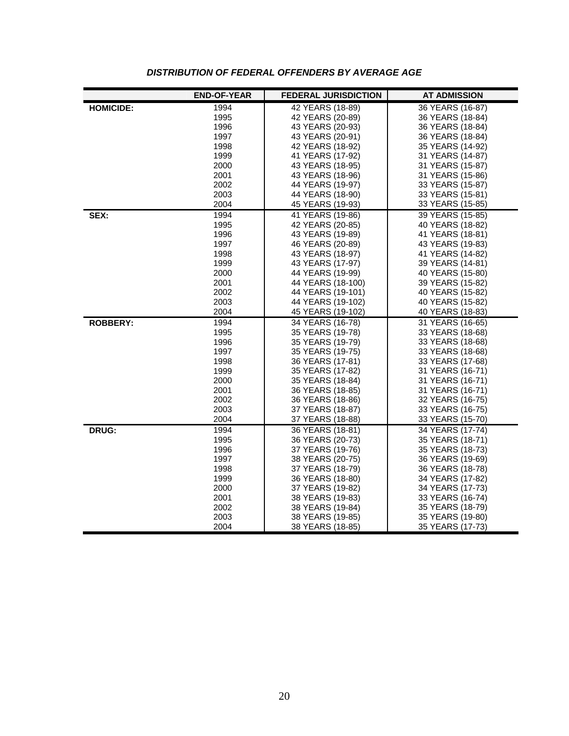|                  | <b>END-OF-YEAR</b> | <b>FEDERAL JURISDICTION</b>          | <b>AT ADMISSION</b>                  |
|------------------|--------------------|--------------------------------------|--------------------------------------|
| <b>HOMICIDE:</b> | 1994               | 42 YEARS (18-89)                     | 36 YEARS (16-87)                     |
|                  | 1995               | 42 YEARS (20-89)                     | 36 YEARS (18-84)                     |
|                  | 1996               | 43 YEARS (20-93)                     | 36 YEARS (18-84)                     |
|                  | 1997               | 43 YEARS (20-91)                     | 36 YEARS (18-84)                     |
|                  | 1998               | 42 YEARS (18-92)                     | 35 YEARS (14-92)                     |
|                  | 1999               | 41 YEARS (17-92)                     | 31 YEARS (14-87)                     |
|                  | 2000               | 43 YEARS (18-95)                     | 31 YEARS (15-87)                     |
|                  | 2001               | 43 YEARS (18-96)                     | 31 YEARS (15-86)                     |
|                  | 2002               | 44 YEARS (19-97)                     | 33 YEARS (15-87)                     |
|                  | 2003               | 44 YEARS (18-90)                     | 33 YEARS (15-81)                     |
|                  | 2004               | 45 YEARS (19-93)                     | 33 YEARS (15-85)                     |
| SEX:             | 1994               | 41 YEARS (19-86)                     | 39 YEARS (15-85)                     |
|                  | 1995               | 42 YEARS (20-85)                     | 40 YEARS (18-82)                     |
|                  | 1996               | 43 YEARS (19-89)                     | 41 YEARS (18-81)                     |
|                  | 1997               | 46 YEARS (20-89)                     | 43 YEARS (19-83)                     |
|                  | 1998               | 43 YEARS (18-97)                     | 41 YEARS (14-82)                     |
|                  | 1999               | 43 YEARS (17-97)                     | 39 YEARS (14-81)                     |
|                  | 2000               | 44 YEARS (19-99)                     | 40 YEARS (15-80)                     |
|                  | 2001               | 44 YEARS (18-100)                    | 39 YEARS (15-82)                     |
|                  | 2002               | 44 YEARS (19-101)                    | 40 YEARS (15-82)                     |
|                  | 2003               | 44 YEARS (19-102)                    | 40 YEARS (15-82)                     |
|                  | 2004               | 45 YEARS (19-102)                    | 40 YEARS (18-83)                     |
| <b>ROBBERY:</b>  | 1994               | 34 YEARS (16-78)                     | 31 YEARS (16-65)                     |
|                  | 1995               | 35 YEARS (19-78)                     | 33 YEARS (18-68)                     |
|                  | 1996               | 35 YEARS (19-79)                     | 33 YEARS (18-68)                     |
|                  | 1997               | 35 YEARS (19-75)                     | 33 YEARS (18-68)                     |
|                  | 1998<br>1999       | 36 YEARS (17-81)                     | 33 YEARS (17-68)                     |
|                  | 2000               | 35 YEARS (17-82)                     | 31 YEARS (16-71)<br>31 YEARS (16-71) |
|                  | 2001               | 35 YEARS (18-84)<br>36 YEARS (18-85) | 31 YEARS (16-71)                     |
|                  | 2002               | 36 YEARS (18-86)                     | 32 YEARS (16-75)                     |
|                  | 2003               | 37 YEARS (18-87)                     | 33 YEARS (16-75)                     |
|                  | 2004               | 37 YEARS (18-88)                     | 33 YEARS (15-70)                     |
| DRUG:            | 1994               | 36 YEARS (18-81)                     | 34 YEARS (17-74)                     |
|                  | 1995               | 36 YEARS (20-73)                     | 35 YEARS (18-71)                     |
|                  | 1996               | 37 YEARS (19-76)                     | 35 YEARS (18-73)                     |
|                  | 1997               | 38 YEARS (20-75)                     | 36 YEARS (19-69)                     |
|                  | 1998               | 37 YEARS (18-79)                     | 36 YEARS (18-78)                     |
|                  | 1999               | 36 YEARS (18-80)                     | 34 YEARS (17-82)                     |
|                  | 2000               | 37 YEARS (19-82)                     | 34 YEARS (17-73)                     |
|                  | 2001               | 38 YEARS (19-83)                     | 33 YEARS (16-74)                     |
|                  | 2002               | 38 YEARS (19-84)                     | 35 YEARS (18-79)                     |
|                  | 2003               | 38 YEARS (19-85)                     | 35 YEARS (19-80)                     |
|                  | 2004               | 38 YEARS (18-85)                     | 35 YEARS (17-73)                     |

#### *DISTRIBUTION OF FEDERAL OFFENDERS BY AVERAGE AGE*